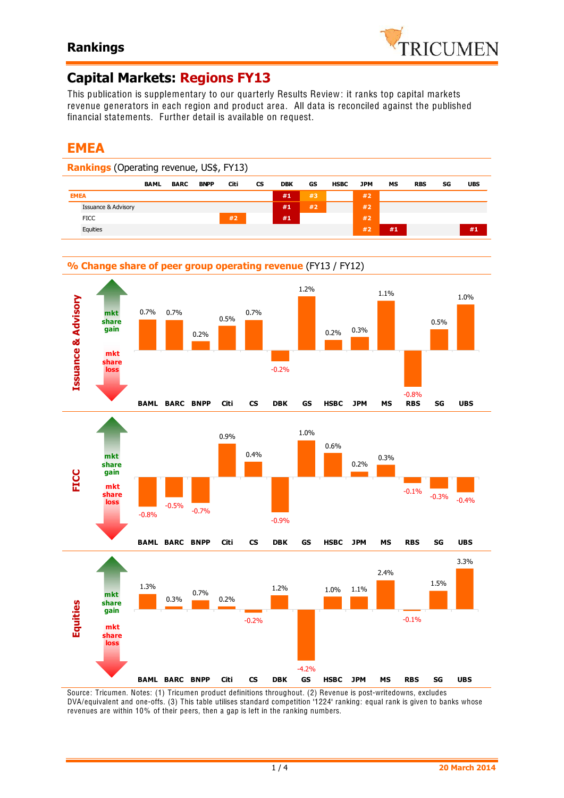

# **Capital Markets: Regions FY13**

This publication is supplementary to our quarterly Results Review: it ranks top capital markets revenue generators in each region and product area. All data is reconciled against the published financial statements. Further detail is available on request.

# **EMEA**

-0.05 -0.04







Source: Tricumen. Notes: (1) Tricumen product definitions throughout. (2) Revenue is post-writedowns, excludes DVA/equivalent and one-offs. (3) This table utilises standard competition '1224' ranking: equal rank is given to banks whose revenues are within 10% of their peers, then a gap is left in the ranking numbers.

-4.2%

**BAML BARC BNPP Citi CS DBK GS HSBC JPM MS RBS SG UBS**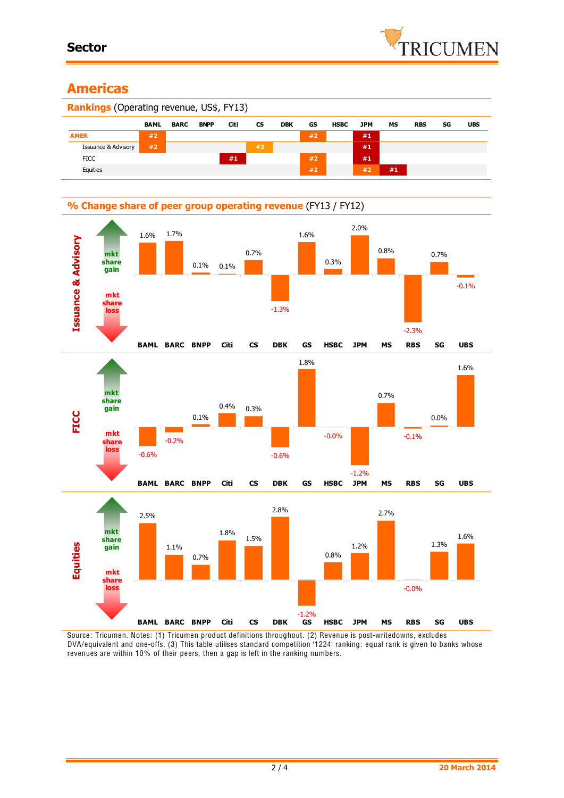## **Americas**





Source: Tricumen. Notes: (1) Tricumen product definitions throughout. (2) Revenue is post-writedowns, excludes DVA/equivalent and one-offs. (3) This table utilises standard competition '1224' ranking: equal rank is given to banks whose revenues are within 10% of their peers, then a gap is left in the ranking numbers.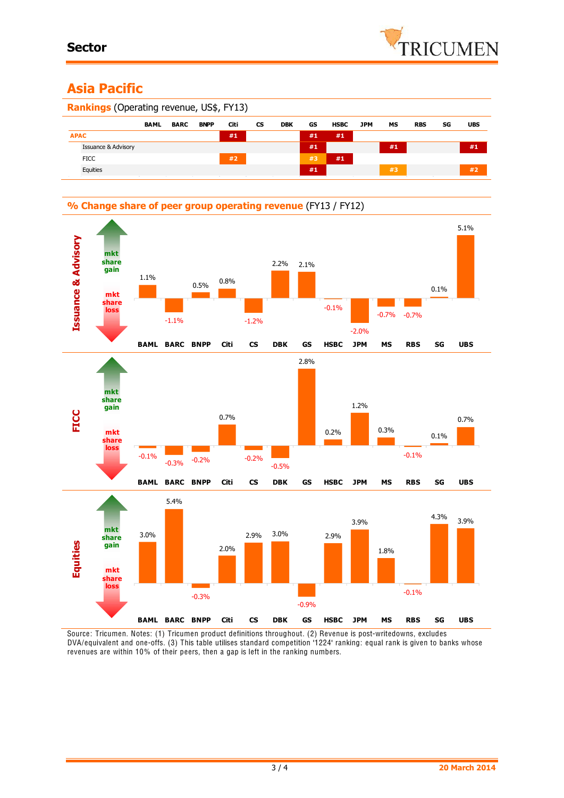# **Asia Pacific**

| <b>Rankings</b> (Operating revenue, US\$, FY13) |                                |             |             |             |      |           |            |    |             |     |    |            |    |            |
|-------------------------------------------------|--------------------------------|-------------|-------------|-------------|------|-----------|------------|----|-------------|-----|----|------------|----|------------|
|                                                 |                                | <b>BAML</b> | <b>BARC</b> | <b>BNPP</b> | Citi | <b>CS</b> | <b>DBK</b> | GS | <b>HSBC</b> | JPM | МS | <b>RBS</b> | SG | <b>UBS</b> |
|                                                 | <b>APAC</b>                    |             |             |             | #1   |           |            | #1 | #1          |     |    |            |    |            |
|                                                 | <b>Issuance &amp; Advisory</b> |             |             |             |      |           |            | #1 |             |     | #1 |            |    | #1         |
|                                                 | <b>FICC</b>                    |             |             |             | #2   |           |            | #3 | #1          |     |    |            |    |            |
|                                                 | Equities                       |             |             |             |      |           |            | #1 |             |     | #3 |            |    | #2         |



Source: Tricumen. Notes: (1) Tricumen product definitions throughout. (2) Revenue is post-writedowns, excludes DVA/equivalent and one-offs. (3) This table utilises standard competition '1224' ranking: equal rank is given to banks whose revenues are within 10% of their peers, then a gap is left in the ranking numbers.